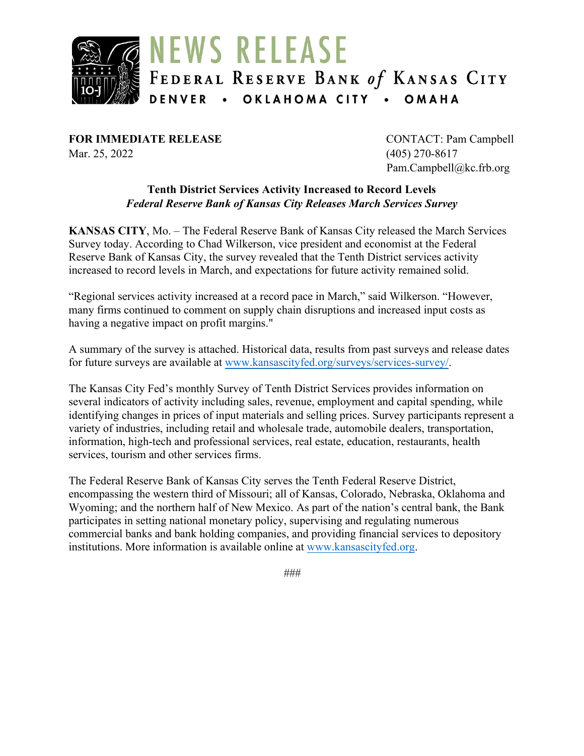

**FOR IMMEDIATE RELEASE** CONTACT: Pam Campbell Mar. 25, 2022 (405) 270-8617

Pam.Campbell@kc.frb.org

#### **Tenth District Services Activity Increased to Record Levels** *Federal Reserve Bank of Kansas City Releases March Services Survey*

**KANSAS CITY**, Mo. – The Federal Reserve Bank of Kansas City released the March Services Survey today. According to Chad Wilkerson, vice president and economist at the Federal Reserve Bank of Kansas City, the survey revealed that the Tenth District services activity increased to record levels in March, and expectations for future activity remained solid.

"Regional services activity increased at a record pace in March," said Wilkerson. "However, many firms continued to comment on supply chain disruptions and increased input costs as having a negative impact on profit margins."

A summary of the survey is attached. Historical data, results from past surveys and release dates for future surveys are available at [www.kansascityfed.org/surveys/services-survey/.](https://www.kansascityfed.org/surveys/services-survey/)

The Kansas City Fed's monthly Survey of Tenth District Services provides information on several indicators of activity including sales, revenue, employment and capital spending, while identifying changes in prices of input materials and selling prices. Survey participants represent a variety of industries, including retail and wholesale trade, automobile dealers, transportation, information, high-tech and professional services, real estate, education, restaurants, health services, tourism and other services firms.

The Federal Reserve Bank of Kansas City serves the Tenth Federal Reserve District, encompassing the western third of Missouri; all of Kansas, Colorado, Nebraska, Oklahoma and Wyoming; and the northern half of New Mexico. As part of the nation's central bank, the Bank participates in setting national monetary policy, supervising and regulating numerous commercial banks and bank holding companies, and providing financial services to depository institutions. More information is available online at [www.kansascityfed.org.](http://www.kansascityfed.org/)

*###*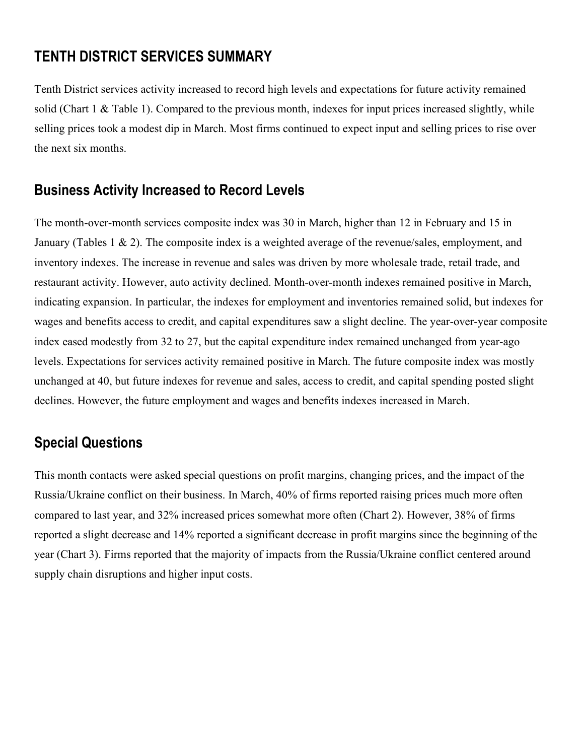# **TENTH DISTRICT SERVICES SUMMARY**

Tenth District services activity increased to record high levels and expectations for future activity remained solid (Chart 1 & Table 1). Compared to the previous month, indexes for input prices increased slightly, while selling prices took a modest dip in March. Most firms continued to expect input and selling prices to rise over the next six months.

## **Business Activity Increased to Record Levels**

The month-over-month services composite index was 30 in March, higher than 12 in February and 15 in January (Tables 1 & 2). The composite index is a weighted average of the revenue/sales, employment, and inventory indexes. The increase in revenue and sales was driven by more wholesale trade, retail trade, and restaurant activity. However, auto activity declined. Month-over-month indexes remained positive in March, indicating expansion. In particular, the indexes for employment and inventories remained solid, but indexes for wages and benefits access to credit, and capital expenditures saw a slight decline. The year-over-year composite index eased modestly from 32 to 27, but the capital expenditure index remained unchanged from year-ago levels. Expectations for services activity remained positive in March. The future composite index was mostly unchanged at 40, but future indexes for revenue and sales, access to credit, and capital spending posted slight declines. However, the future employment and wages and benefits indexes increased in March.

# **Special Questions**

This month contacts were asked special questions on profit margins, changing prices, and the impact of the Russia/Ukraine conflict on their business. In March, 40% of firms reported raising prices much more often compared to last year, and 32% increased prices somewhat more often (Chart 2). However, 38% of firms reported a slight decrease and 14% reported a significant decrease in profit margins since the beginning of the year (Chart 3). Firms reported that the majority of impacts from the Russia/Ukraine conflict centered around supply chain disruptions and higher input costs.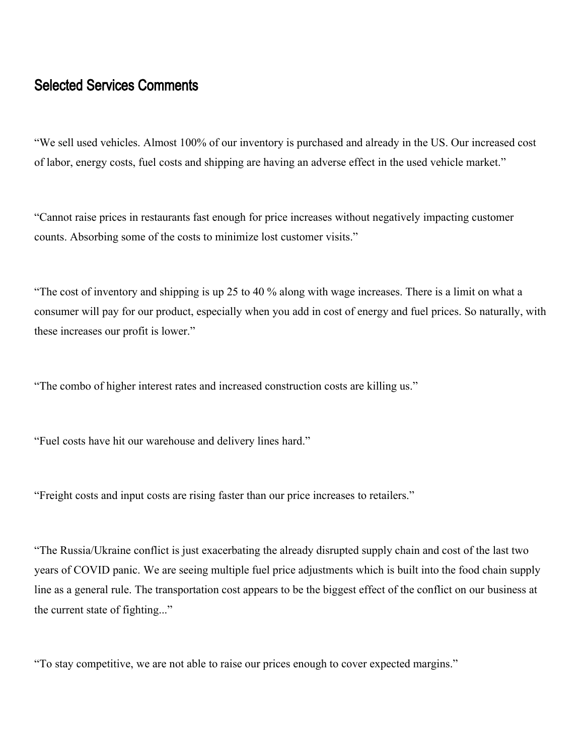## Selected Services Comments

"We sell used vehicles. Almost 100% of our inventory is purchased and already in the US. Our increased cost of labor, energy costs, fuel costs and shipping are having an adverse effect in the used vehicle market."

"Cannot raise prices in restaurants fast enough for price increases without negatively impacting customer counts. Absorbing some of the costs to minimize lost customer visits."

"The cost of inventory and shipping is up 25 to 40 % along with wage increases. There is a limit on what a consumer will pay for our product, especially when you add in cost of energy and fuel prices. So naturally, with these increases our profit is lower."

"The combo of higher interest rates and increased construction costs are killing us."

"Fuel costs have hit our warehouse and delivery lines hard."

"Freight costs and input costs are rising faster than our price increases to retailers."

"The Russia/Ukraine conflict is just exacerbating the already disrupted supply chain and cost of the last two years of COVID panic. We are seeing multiple fuel price adjustments which is built into the food chain supply line as a general rule. The transportation cost appears to be the biggest effect of the conflict on our business at the current state of fighting..."

"To stay competitive, we are not able to raise our prices enough to cover expected margins."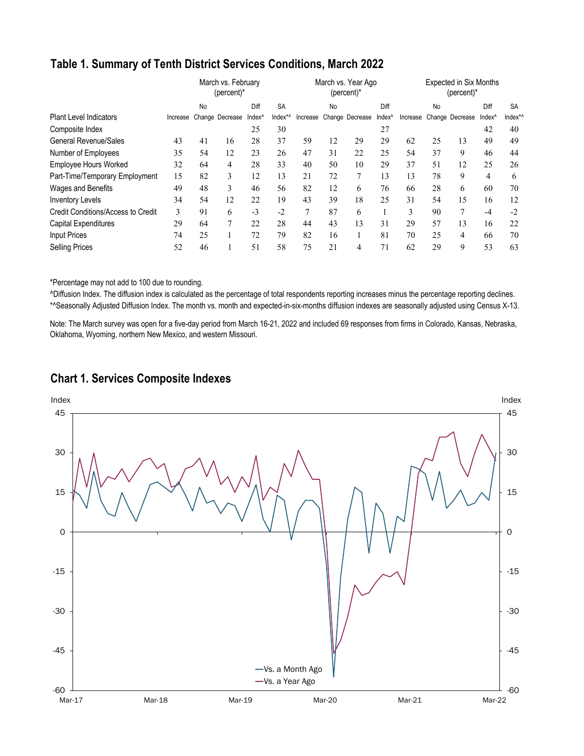## **Table 1. Summary of Tenth District Services Conditions, March 2022**

|                                    |          |    | March vs. February<br>(percent)* |                    | March vs. Year Ago<br>(percent)* |          |    |                 | <b>Expected in Six Months</b><br>(percent)* |          |    |                 |        |           |
|------------------------------------|----------|----|----------------------------------|--------------------|----------------------------------|----------|----|-----------------|---------------------------------------------|----------|----|-----------------|--------|-----------|
|                                    |          | No |                                  | Diff               | <b>SA</b>                        |          | No |                 | Diff                                        |          | No |                 | Diff   | <b>SA</b> |
| <b>Plant Level Indicators</b>      | Increase |    | Change Decrease                  | Index <sup>^</sup> | Index*^                          | Increase |    | Change Decrease | Index <sup>^</sup>                          | Increase |    | Change Decrease | Index^ | Index*/   |
| Composite Index                    |          |    |                                  | 25                 | 30                               |          |    |                 | 27                                          |          |    |                 | 42     | 40        |
| <b>General Revenue/Sales</b>       | 43       | 41 | 16                               | 28                 | 37                               | 59       | 12 | 29              | 29                                          | 62       | 25 | 13              | 49     | 49        |
| Number of Employees                | 35       | 54 | 12                               | 23                 | 26                               | 47       | 31 | 22              | 25                                          | 54       | 37 | 9               | 46     | 44        |
| <b>Employee Hours Worked</b>       | 32       | 64 | 4                                | 28                 | 33                               | 40       | 50 | 10              | 29                                          | 37       | 51 | 12              | 25     | 26        |
| Part-Time/Temporary Employment     | 15       | 82 | 3                                | 12                 | 13                               | 21       | 72 |                 | 13                                          | 13       | 78 | 9               | 4      | 6         |
| Wages and Benefits                 | 49       | 48 | 3                                | 46                 | 56                               | 82       | 12 | 6               | 76                                          | 66       | 28 | 6               | 60     | 70        |
| <b>Inventory Levels</b>            | 34       | 54 | 12                               | 22                 | 19                               | 43       | 39 | 18              | 25                                          | 31       | 54 | 15              | 16     | 12        |
| Credit Conditions/Access to Credit | 3        | 91 | 6                                | $-3$               | $-2$                             | 7        | 87 | 6               |                                             | 3        | 90 | 7               | $-4$   | $-2$      |
| <b>Capital Expenditures</b>        | 29       | 64 | 7                                | 22                 | 28                               | 44       | 43 | 13              | 31                                          | 29       | 57 | 13              | 16     | 22        |
| <b>Input Prices</b>                | 74       | 25 |                                  | 72                 | 79                               | 82       | 16 |                 | 81                                          | 70       | 25 | 4               | 66     | 70        |
| <b>Selling Prices</b>              | 52       | 46 |                                  | 51                 | 58                               | 75       | 21 | 4               | 71                                          | 62       | 29 | 9               | 53     | 63        |

\*Percentage may not add to 100 due to rounding.

^Diffusion Index. The diffusion index is calculated as the percentage of total respondents reporting increases minus the percentage reporting declines. \*^Seasonally Adjusted Diffusion Index. The month vs. month and expected-in-six-months diffusion indexes are seasonally adjusted using Census X-13.

Note: The March survey was open for a five-day period from March 16-21, 2022 and included 69 responses from firms in Colorado, Kansas, Nebraska, Oklahoma, Wyoming, northern New Mexico, and western Missouri.

### **Chart 1. Services Composite Indexes**

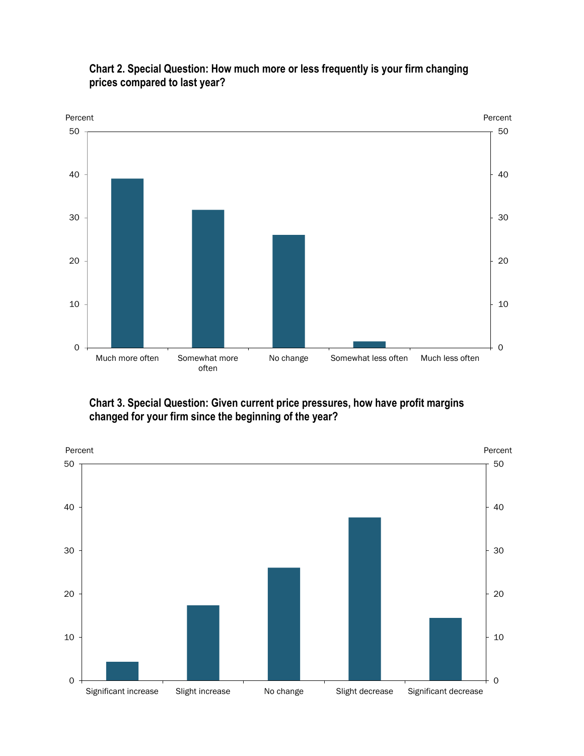

### **Chart 2. Special Question: How much more or less frequently is your firm changing prices compared to last year?**

**Chart 3. Special Question: Given current price pressures, how have profit margins changed for your firm since the beginning of the year?**